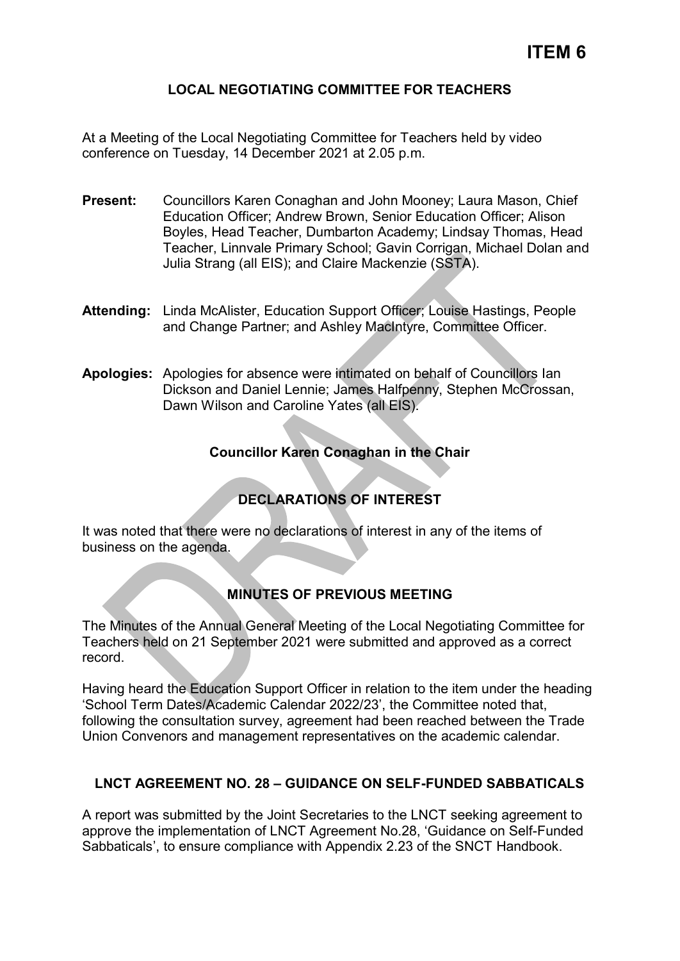### **LOCAL NEGOTIATING COMMITTEE FOR TEACHERS**

At a Meeting of the Local Negotiating Committee for Teachers held by video conference on Tuesday, 14 December 2021 at 2.05 p.m.

- **Present:** Councillors Karen Conaghan and John Mooney; Laura Mason, Chief Education Officer; Andrew Brown, Senior Education Officer; Alison Boyles, Head Teacher, Dumbarton Academy; Lindsay Thomas, Head Teacher, Linnvale Primary School; Gavin Corrigan, Michael Dolan and Julia Strang (all EIS); and Claire Mackenzie (SSTA).
- **Attending:** Linda McAlister, Education Support Officer; Louise Hastings, People and Change Partner; and Ashley MacIntyre, Committee Officer.
- **Apologies:** Apologies for absence were intimated on behalf of Councillors Ian Dickson and Daniel Lennie; James Halfpenny, Stephen McCrossan, Dawn Wilson and Caroline Yates (all EIS).

### **Councillor Karen Conaghan in the Chair**

# **DECLARATIONS OF INTEREST**

It was noted that there were no declarations of interest in any of the items of business on the agenda.

## **MINUTES OF PREVIOUS MEETING**

The Minutes of the Annual General Meeting of the Local Negotiating Committee for Teachers held on 21 September 2021 were submitted and approved as a correct record.

Having heard the Education Support Officer in relation to the item under the heading 'School Term Dates/Academic Calendar 2022/23', the Committee noted that, following the consultation survey, agreement had been reached between the Trade Union Convenors and management representatives on the academic calendar.

### **LNCT AGREEMENT NO. 28 – GUIDANCE ON SELF-FUNDED SABBATICALS**

A report was submitted by the Joint Secretaries to the LNCT seeking agreement to approve the implementation of LNCT Agreement No.28, 'Guidance on Self-Funded Sabbaticals', to ensure compliance with Appendix 2.23 of the SNCT Handbook.